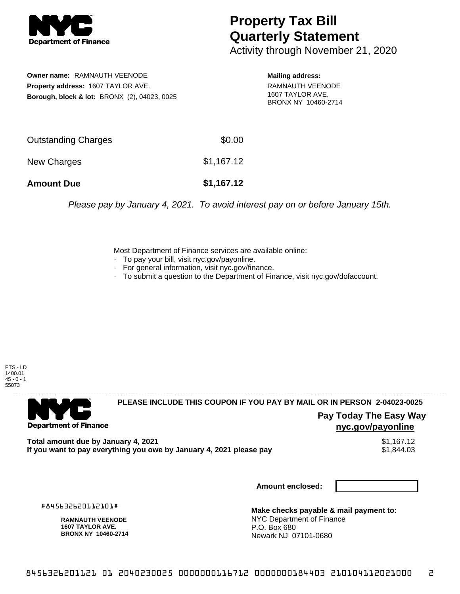

# **Property Tax Bill Quarterly Statement**

Activity through November 21, 2020

**Owner name:** RAMNAUTH VEENODE **Property address:** 1607 TAYLOR AVE. **Borough, block & lot:** BRONX (2), 04023, 0025

**Mailing address:** RAMNAUTH VEENODE 1607 TAYLOR AVE. BRONX NY 10460-2714

| <b>Amount Due</b>   | \$1,167.12 |
|---------------------|------------|
| New Charges         | \$1,167.12 |
| Outstanding Charges | \$0.00     |

Please pay by January 4, 2021. To avoid interest pay on or before January 15th.

Most Department of Finance services are available online:

- · To pay your bill, visit nyc.gov/payonline.
- For general information, visit nyc.gov/finance.
- · To submit a question to the Department of Finance, visit nyc.gov/dofaccount.

PTS - LD 1400.01  $45 - 0 - 1$ 55073



**PLEASE INCLUDE THIS COUPON IF YOU PAY BY MAIL OR IN PERSON 2-04023-0025** 

**Pay Today The Easy Way nyc.gov/payonline**

**Total amount due by January 4, 2021**<br>If you want to pay everything you owe by January 4, 2021 please pay **ship in the set of the set of the s**1,844.03 If you want to pay everything you owe by January 4, 2021 please pay

**Amount enclosed:**

#845632620112101#

**RAMNAUTH VEENODE 1607 TAYLOR AVE. BRONX NY 10460-2714**

**Make checks payable & mail payment to:** NYC Department of Finance P.O. Box 680 Newark NJ 07101-0680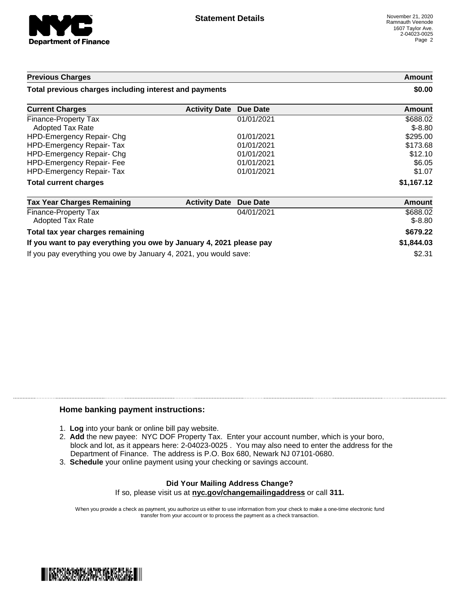

### **Previous Charges Amount Total previous charges including interest and payments \$0.00 Current Charges <b>Activity Date Due Date Amount Amount** Finance-Property Tax  $01/01/2021$  \$688.02 Adopted Tax Rate  $\$$ -8.80 HPD-Emergency Repair- Chg 01/01/2021 \$295.00 HPD-Emergency Repair- Tax 01/01/2021 6173.68 HPD-Emergency Repair- Chg 01/01/2021 \$12.10 HPD-Emergency Repair- Fee  $01/01/2021$   $0.056.05$ HPD-Emergency Repair- Tax 01/01/2021 \$1.07 **Total current charges \$1,167.12 Tax Year Charges Remaining Activity Date Due Date Amount** Finance-Property Tax 04/01/2021 \$688.02 **Adopted Tax Rate**  $\qquad$  \$-8.80 **Total tax year charges remaining \$679.22**

## **If you want to pay everything you owe by January 4, 2021 please pay \$1,844.03** If you pay everything you owe by January 4, 2021, you would save: \$2.31

### **Home banking payment instructions:**

- 1. **Log** into your bank or online bill pay website.
- 2. **Add** the new payee: NYC DOF Property Tax. Enter your account number, which is your boro, block and lot, as it appears here: 2-04023-0025 . You may also need to enter the address for the Department of Finance. The address is P.O. Box 680, Newark NJ 07101-0680.
- 3. **Schedule** your online payment using your checking or savings account.

#### **Did Your Mailing Address Change?** If so, please visit us at **nyc.gov/changemailingaddress** or call **311.**

When you provide a check as payment, you authorize us either to use information from your check to make a one-time electronic fund transfer from your account or to process the payment as a check transaction.